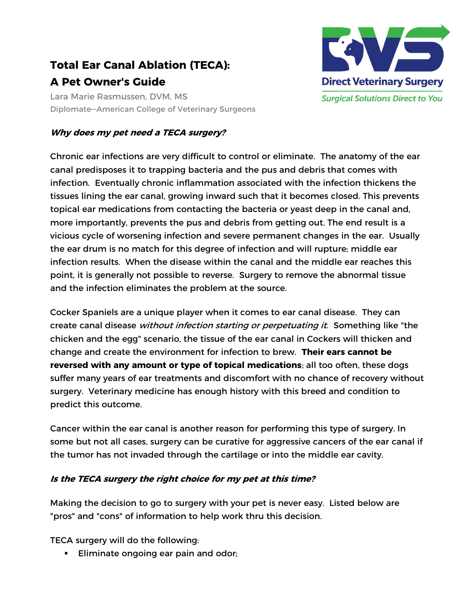# Total Ear Canal Ablation (TECA): A Pet Owner's Guide

Lara Marie Rasmussen, DVM, MS Diplomate—American College of Veterinary Surgeons

# Why does my pet need a TECA surgery?

Chronic ear infections are very difficult to control or eliminate. The anatomy of the ear canal predisposes it to trapping bacteria and the pus and debris that comes with infection. Eventually chronic inflammation associated with the infection thickens the tissues lining the ear canal, growing inward such that it becomes closed. This prevents topical ear medications from contacting the bacteria or yeast deep in the canal and, more importantly, prevents the pus and debris from getting out. The end result is a vicious cycle of worsening infection and severe permanent changes in the ear. Usually the ear drum is no match for this degree of infection and will rupture; middle ear infection results. When the disease within the canal and the middle ear reaches this point, it is generally not possible to reverse. Surgery to remove the abnormal tissue and the infection eliminates the problem at the source.

Cocker Spaniels are a unique player when it comes to ear canal disease. They can create canal disease *without infection starting or perpetuating it*. Something like "the chicken and the egg" scenario, the tissue of the ear canal in Cockers will thicken and change and create the environment for infection to brew. Their ears cannot be reversed with any amount or type of topical medications; all too often, these dogs suffer many years of ear treatments and discomfort with no chance of recovery without surgery. Veterinary medicine has enough history with this breed and condition to predict this outcome.

Cancer within the ear canal is another reason for performing this type of surgery. In some but not all cases, surgery can be curative for aggressive cancers of the ear canal if the tumor has not invaded through the cartilage or into the middle ear cavity.

# Is the TECA surgery the right choice for my pet at this time?

Making the decision to go to surgery with your pet is never easy. Listed below are "pros" and "cons" of information to help work thru this decision.

TECA surgery will do the following:

**Eliminate ongoing ear pain and odor;** 

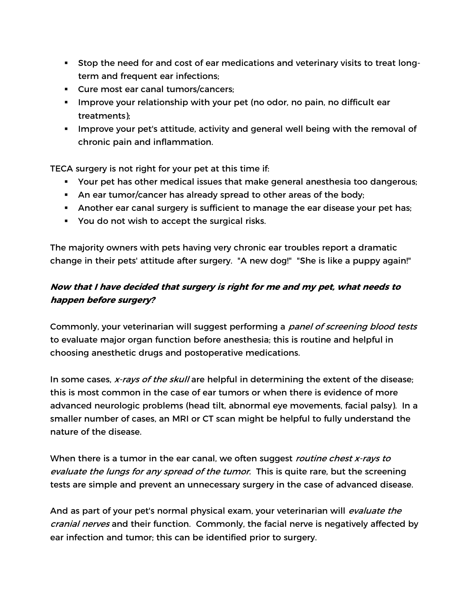- Stop the need for and cost of ear medications and veterinary visits to treat longterm and frequent ear infections;
- Cure most ear canal tumors/cancers;
- **IMPROVE 1995** Improve your relationship with your pet (no odor, no pain, no difficult ear treatments);
- Improve your pet's attitude, activity and general well being with the removal of chronic pain and inflammation.

TECA surgery is not right for your pet at this time if:

- Your pet has other medical issues that make general anesthesia too dangerous;
- An ear tumor/cancer has already spread to other areas of the body;
- Another ear canal surgery is sufficient to manage the ear disease your pet has;
- You do not wish to accept the surgical risks.

The majority owners with pets having very chronic ear troubles report a dramatic change in their pets' attitude after surgery. "A new dog!" "She is like a puppy again!"

# Now that I have decided that surgery is right for me and my pet, what needs to happen before surgery?

Commonly, your veterinarian will suggest performing a *panel of screening blood tests* to evaluate major organ function before anesthesia; this is routine and helpful in choosing anesthetic drugs and postoperative medications.

In some cases, x-rays of the skull are helpful in determining the extent of the disease; this is most common in the case of ear tumors or when there is evidence of more advanced neurologic problems (head tilt, abnormal eye movements, facial palsy). In a smaller number of cases, an MRI or CT scan might be helpful to fully understand the nature of the disease.

When there is a tumor in the ear canal, we often suggest *routine chest x-rays to* evaluate the lungs for any spread of the tumor. This is quite rare, but the screening tests are simple and prevent an unnecessary surgery in the case of advanced disease.

And as part of your pet's normal physical exam, your veterinarian will evaluate the cranial nerves and their function. Commonly, the facial nerve is negatively affected by ear infection and tumor; this can be identified prior to surgery.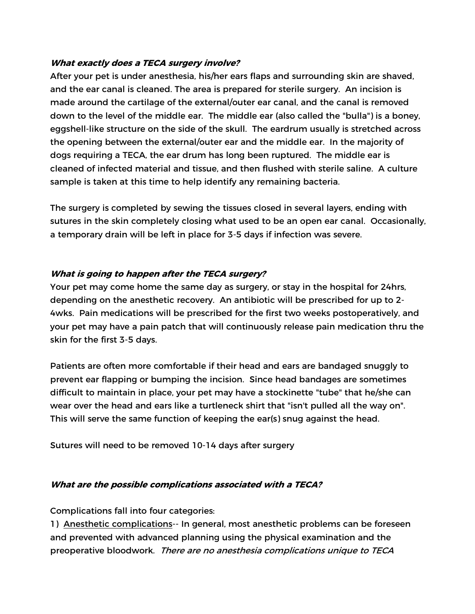## What exactly does a TECA surgery involve?

After your pet is under anesthesia, his/her ears flaps and surrounding skin are shaved, and the ear canal is cleaned. The area is prepared for sterile surgery. An incision is made around the cartilage of the external/outer ear canal, and the canal is removed down to the level of the middle ear. The middle ear (also called the "bulla") is a boney, eggshell-like structure on the side of the skull. The eardrum usually is stretched across the opening between the external/outer ear and the middle ear. In the majority of dogs requiring a TECA, the ear drum has long been ruptured. The middle ear is cleaned of infected material and tissue, and then flushed with sterile saline. A culture sample is taken at this time to help identify any remaining bacteria.

The surgery is completed by sewing the tissues closed in several layers, ending with sutures in the skin completely closing what used to be an open ear canal. Occasionally, a temporary drain will be left in place for 3-5 days if infection was severe.

### What is going to happen after the TECA surgery?

Your pet may come home the same day as surgery, or stay in the hospital for 24hrs, depending on the anesthetic recovery. An antibiotic will be prescribed for up to 2- 4wks. Pain medications will be prescribed for the first two weeks postoperatively, and your pet may have a pain patch that will continuously release pain medication thru the skin for the first 3-5 days.

Patients are often more comfortable if their head and ears are bandaged snuggly to prevent ear flapping or bumping the incision. Since head bandages are sometimes difficult to maintain in place, your pet may have a stockinette "tube" that he/she can wear over the head and ears like a turtleneck shirt that "isn't pulled all the way on". This will serve the same function of keeping the ear(s) snug against the head.

Sutures will need to be removed 10-14 days after surgery

#### What are the possible complications associated with a TECA?

Complications fall into four categories:

1) Anesthetic complications-- In general, most anesthetic problems can be foreseen and prevented with advanced planning using the physical examination and the preoperative bloodwork. There are no anesthesia complications unique to TECA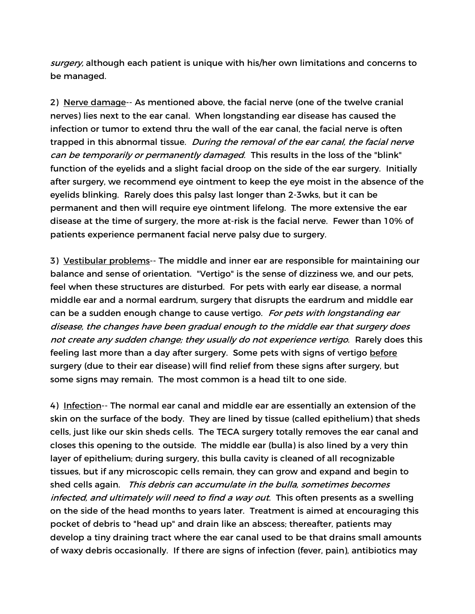surgery, although each patient is unique with his/her own limitations and concerns to be managed.

2) Nerve damage-- As mentioned above, the facial nerve (one of the twelve cranial nerves) lies next to the ear canal. When longstanding ear disease has caused the infection or tumor to extend thru the wall of the ear canal, the facial nerve is often trapped in this abnormal tissue. During the removal of the ear canal, the facial nerve can be temporarily or permanently damaged. This results in the loss of the "blink" function of the eyelids and a slight facial droop on the side of the ear surgery. Initially after surgery, we recommend eye ointment to keep the eye moist in the absence of the eyelids blinking. Rarely does this palsy last longer than 2-3wks, but it can be permanent and then will require eye ointment lifelong. The more extensive the ear disease at the time of surgery, the more at-risk is the facial nerve. Fewer than 10% of patients experience permanent facial nerve palsy due to surgery.

3) Vestibular problems-- The middle and inner ear are responsible for maintaining our balance and sense of orientation. "Vertigo" is the sense of dizziness we, and our pets, feel when these structures are disturbed. For pets with early ear disease, a normal middle ear and a normal eardrum, surgery that disrupts the eardrum and middle ear can be a sudden enough change to cause vertigo. For pets with longstanding ear disease, the changes have been gradual enough to the middle ear that surgery does not create any sudden change; they usually do not experience vertigo. Rarely does this feeling last more than a day after surgery. Some pets with signs of vertigo before surgery (due to their ear disease) will find relief from these signs after surgery, but some signs may remain. The most common is a head tilt to one side.

4) Infection-- The normal ear canal and middle ear are essentially an extension of the skin on the surface of the body. They are lined by tissue (called epithelium) that sheds cells, just like our skin sheds cells. The TECA surgery totally removes the ear canal and closes this opening to the outside. The middle ear (bulla) is also lined by a very thin layer of epithelium; during surgery, this bulla cavity is cleaned of all recognizable tissues, but if any microscopic cells remain, they can grow and expand and begin to shed cells again. This debris can accumulate in the bulla, sometimes becomes infected, and ultimately will need to find a way out. This often presents as a swelling on the side of the head months to years later. Treatment is aimed at encouraging this pocket of debris to "head up" and drain like an abscess; thereafter, patients may develop a tiny draining tract where the ear canal used to be that drains small amounts of waxy debris occasionally. If there are signs of infection (fever, pain), antibiotics may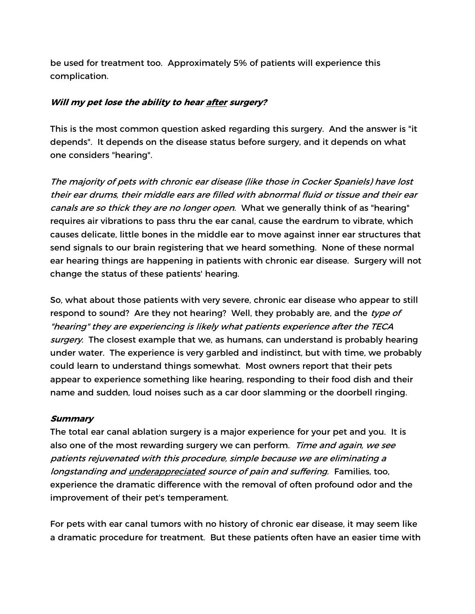be used for treatment too. Approximately 5% of patients will experience this complication.

#### Will my pet lose the ability to hear after surgery?

This is the most common question asked regarding this surgery. And the answer is "it depends". It depends on the disease status before surgery, and it depends on what one considers "hearing".

The majority of pets with chronic ear disease (like those in Cocker Spaniels) have lost their ear drums, their middle ears are filled with abnormal fluid or tissue and their ear canals are so thick they are no longer open. What we generally think of as "hearing" requires air vibrations to pass thru the ear canal, cause the eardrum to vibrate, which causes delicate, little bones in the middle ear to move against inner ear structures that send signals to our brain registering that we heard something. None of these normal ear hearing things are happening in patients with chronic ear disease. Surgery will not change the status of these patients' hearing.

So, what about those patients with very severe, chronic ear disease who appear to still respond to sound? Are they not hearing? Well, they probably are, and the type of "hearing" they are experiencing is likely what patients experience after the TECA surgery. The closest example that we, as humans, can understand is probably hearing under water. The experience is very garbled and indistinct, but with time, we probably could learn to understand things somewhat. Most owners report that their pets appear to experience something like hearing, responding to their food dish and their name and sudden, loud noises such as a car door slamming or the doorbell ringing.

#### **Summary**

The total ear canal ablation surgery is a major experience for your pet and you. It is also one of the most rewarding surgery we can perform. Time and again, we see patients rejuvenated with this procedure, simple because we are eliminating a longstanding and *underappreciated source of pain and suffering.* Families, too, experience the dramatic difference with the removal of often profound odor and the improvement of their pet's temperament.

For pets with ear canal tumors with no history of chronic ear disease, it may seem like a dramatic procedure for treatment. But these patients often have an easier time with